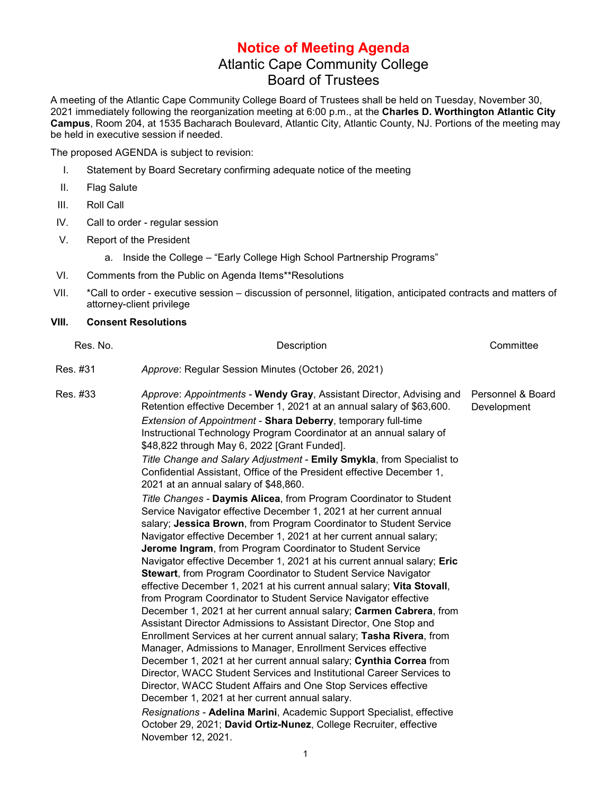## **Notice of Meeting Agenda** Atlantic Cape Community College Board of Trustees

A meeting of the Atlantic Cape Community College Board of Trustees shall be held on Tuesday, November 30, 2021 immediately following the reorganization meeting at 6:00 p.m., at the **Charles D. Worthington Atlantic City Campus**, Room 204, at 1535 Bacharach Boulevard, Atlantic City, Atlantic County, NJ. Portions of the meeting may be held in executive session if needed.

The proposed AGENDA is subject to revision:

- I. Statement by Board Secretary confirming adequate notice of the meeting
- II. Flag Salute
- III. Roll Call
- IV. Call to order regular session
- V. Report of the President
	- a. Inside the College "Early College High School Partnership Programs"
- VI. Comments from the Public on Agenda Items\*\*Resolutions
- VII. \*Call to order executive session discussion of personnel, litigation, anticipated contracts and matters of attorney-client privilege

## **VIII. Consent Resolutions**

| Res. No. | Description                                                                                                                                                                                                                                                                                                                                                                                                                                                                                                                                                                                                                                                                                                                                                                                                                                                                                                                                                                                                                                                                                                                                                  | Committee                        |
|----------|--------------------------------------------------------------------------------------------------------------------------------------------------------------------------------------------------------------------------------------------------------------------------------------------------------------------------------------------------------------------------------------------------------------------------------------------------------------------------------------------------------------------------------------------------------------------------------------------------------------------------------------------------------------------------------------------------------------------------------------------------------------------------------------------------------------------------------------------------------------------------------------------------------------------------------------------------------------------------------------------------------------------------------------------------------------------------------------------------------------------------------------------------------------|----------------------------------|
| Res. #31 | Approve: Regular Session Minutes (October 26, 2021)                                                                                                                                                                                                                                                                                                                                                                                                                                                                                                                                                                                                                                                                                                                                                                                                                                                                                                                                                                                                                                                                                                          |                                  |
| Res. #33 | Approve: Appointments - Wendy Gray, Assistant Director, Advising and<br>Retention effective December 1, 2021 at an annual salary of \$63,600.<br>Extension of Appointment - Shara Deberry, temporary full-time<br>Instructional Technology Program Coordinator at an annual salary of<br>\$48,822 through May 6, 2022 [Grant Funded].<br>Title Change and Salary Adjustment - Emily Smykla, from Specialist to<br>Confidential Assistant, Office of the President effective December 1,<br>2021 at an annual salary of \$48,860.<br>Title Changes - Daymis Alicea, from Program Coordinator to Student<br>Service Navigator effective December 1, 2021 at her current annual<br>salary; Jessica Brown, from Program Coordinator to Student Service                                                                                                                                                                                                                                                                                                                                                                                                           | Personnel & Board<br>Development |
|          | Navigator effective December 1, 2021 at her current annual salary;<br>Jerome Ingram, from Program Coordinator to Student Service<br>Navigator effective December 1, 2021 at his current annual salary; Eric<br><b>Stewart, from Program Coordinator to Student Service Navigator</b><br>effective December 1, 2021 at his current annual salary; Vita Stovall,<br>from Program Coordinator to Student Service Navigator effective<br>December 1, 2021 at her current annual salary; Carmen Cabrera, from<br>Assistant Director Admissions to Assistant Director, One Stop and<br>Enrollment Services at her current annual salary; Tasha Rivera, from<br>Manager, Admissions to Manager, Enrollment Services effective<br>December 1, 2021 at her current annual salary; Cynthia Correa from<br>Director, WACC Student Services and Institutional Career Services to<br>Director, WACC Student Affairs and One Stop Services effective<br>December 1, 2021 at her current annual salary.<br>Resignations - Adelina Marini, Academic Support Specialist, effective<br>October 29, 2021; David Ortiz-Nunez, College Recruiter, effective<br>November 12, 2021. |                                  |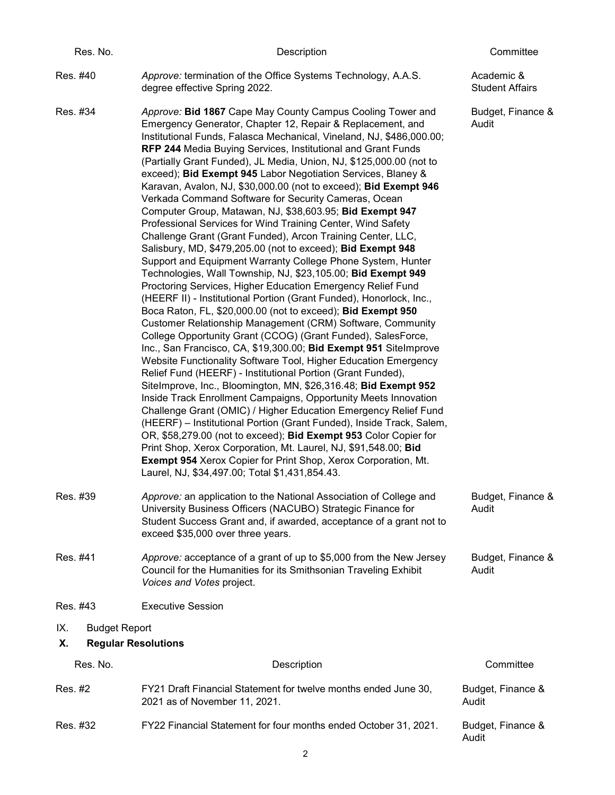| Res. No.                    | Description                                                                                                                                                                                                                                                                                                                                                                                                                                                                                                                                                                                                                                                                                                                                                                                                                                                                                                                                                                                                                                                                                                                                                                                                                                                                                                                                                                                                                                                                                                                                                                                                                                                                                                                                                                                                                                                                                                                                                                                                                    | Committee                            |  |  |
|-----------------------------|--------------------------------------------------------------------------------------------------------------------------------------------------------------------------------------------------------------------------------------------------------------------------------------------------------------------------------------------------------------------------------------------------------------------------------------------------------------------------------------------------------------------------------------------------------------------------------------------------------------------------------------------------------------------------------------------------------------------------------------------------------------------------------------------------------------------------------------------------------------------------------------------------------------------------------------------------------------------------------------------------------------------------------------------------------------------------------------------------------------------------------------------------------------------------------------------------------------------------------------------------------------------------------------------------------------------------------------------------------------------------------------------------------------------------------------------------------------------------------------------------------------------------------------------------------------------------------------------------------------------------------------------------------------------------------------------------------------------------------------------------------------------------------------------------------------------------------------------------------------------------------------------------------------------------------------------------------------------------------------------------------------------------------|--------------------------------------|--|--|
| Res. #40                    | Approve: termination of the Office Systems Technology, A.A.S.<br>degree effective Spring 2022.                                                                                                                                                                                                                                                                                                                                                                                                                                                                                                                                                                                                                                                                                                                                                                                                                                                                                                                                                                                                                                                                                                                                                                                                                                                                                                                                                                                                                                                                                                                                                                                                                                                                                                                                                                                                                                                                                                                                 | Academic &<br><b>Student Affairs</b> |  |  |
| Res. #34                    | Approve: Bid 1867 Cape May County Campus Cooling Tower and<br>Emergency Generator, Chapter 12, Repair & Replacement, and<br>Institutional Funds, Falasca Mechanical, Vineland, NJ, \$486,000.00;<br><b>RFP 244 Media Buying Services, Institutional and Grant Funds</b><br>(Partially Grant Funded), JL Media, Union, NJ, \$125,000.00 (not to<br>exceed); Bid Exempt 945 Labor Negotiation Services, Blaney &<br>Karavan, Avalon, NJ, \$30,000.00 (not to exceed); Bid Exempt 946<br>Verkada Command Software for Security Cameras, Ocean<br>Computer Group, Matawan, NJ, \$38,603.95; Bid Exempt 947<br>Professional Services for Wind Training Center, Wind Safety<br>Challenge Grant (Grant Funded), Arcon Training Center, LLC,<br>Salisbury, MD, \$479,205.00 (not to exceed); Bid Exempt 948<br>Support and Equipment Warranty College Phone System, Hunter<br>Technologies, Wall Township, NJ, \$23,105.00; Bid Exempt 949<br>Proctoring Services, Higher Education Emergency Relief Fund<br>(HEERF II) - Institutional Portion (Grant Funded), Honorlock, Inc.,<br>Boca Raton, FL, \$20,000.00 (not to exceed); Bid Exempt 950<br>Customer Relationship Management (CRM) Software, Community<br>College Opportunity Grant (CCOG) (Grant Funded), SalesForce,<br>Inc., San Francisco, CA, \$19,300.00; Bid Exempt 951 SiteImprove<br>Website Functionality Software Tool, Higher Education Emergency<br>Relief Fund (HEERF) - Institutional Portion (Grant Funded),<br>SiteImprove, Inc., Bloomington, MN, \$26,316.48; Bid Exempt 952<br>Inside Track Enrollment Campaigns, Opportunity Meets Innovation<br>Challenge Grant (OMIC) / Higher Education Emergency Relief Fund<br>(HEERF) - Institutional Portion (Grant Funded), Inside Track, Salem,<br>OR, \$58,279.00 (not to exceed); Bid Exempt 953 Color Copier for<br>Print Shop, Xerox Corporation, Mt. Laurel, NJ, \$91,548.00; Bid<br><b>Exempt 954 Xerox Copier for Print Shop, Xerox Corporation, Mt.</b><br>Laurel, NJ, \$34,497.00; Total \$1,431,854.43. | Budget, Finance &<br>Audit           |  |  |
| Res. #39                    | Approve: an application to the National Association of College and<br>University Business Officers (NACUBO) Strategic Finance for<br>Student Success Grant and, if awarded, acceptance of a grant not to<br>exceed \$35,000 over three years.                                                                                                                                                                                                                                                                                                                                                                                                                                                                                                                                                                                                                                                                                                                                                                                                                                                                                                                                                                                                                                                                                                                                                                                                                                                                                                                                                                                                                                                                                                                                                                                                                                                                                                                                                                                  | Budget, Finance &<br>Audit           |  |  |
| Res. #41                    | Approve: acceptance of a grant of up to \$5,000 from the New Jersey<br>Council for the Humanities for its Smithsonian Traveling Exhibit<br>Voices and Votes project.                                                                                                                                                                                                                                                                                                                                                                                                                                                                                                                                                                                                                                                                                                                                                                                                                                                                                                                                                                                                                                                                                                                                                                                                                                                                                                                                                                                                                                                                                                                                                                                                                                                                                                                                                                                                                                                           | Budget, Finance &<br>Audit           |  |  |
| Res. #43                    | <b>Executive Session</b>                                                                                                                                                                                                                                                                                                                                                                                                                                                                                                                                                                                                                                                                                                                                                                                                                                                                                                                                                                                                                                                                                                                                                                                                                                                                                                                                                                                                                                                                                                                                                                                                                                                                                                                                                                                                                                                                                                                                                                                                       |                                      |  |  |
| IX.<br><b>Budget Report</b> |                                                                                                                                                                                                                                                                                                                                                                                                                                                                                                                                                                                                                                                                                                                                                                                                                                                                                                                                                                                                                                                                                                                                                                                                                                                                                                                                                                                                                                                                                                                                                                                                                                                                                                                                                                                                                                                                                                                                                                                                                                |                                      |  |  |
| Χ.                          | <b>Regular Resolutions</b>                                                                                                                                                                                                                                                                                                                                                                                                                                                                                                                                                                                                                                                                                                                                                                                                                                                                                                                                                                                                                                                                                                                                                                                                                                                                                                                                                                                                                                                                                                                                                                                                                                                                                                                                                                                                                                                                                                                                                                                                     |                                      |  |  |
| Res. No.                    | Description                                                                                                                                                                                                                                                                                                                                                                                                                                                                                                                                                                                                                                                                                                                                                                                                                                                                                                                                                                                                                                                                                                                                                                                                                                                                                                                                                                                                                                                                                                                                                                                                                                                                                                                                                                                                                                                                                                                                                                                                                    | Committee                            |  |  |
| Res. #2                     | FY21 Draft Financial Statement for twelve months ended June 30,<br>2021 as of November 11, 2021.                                                                                                                                                                                                                                                                                                                                                                                                                                                                                                                                                                                                                                                                                                                                                                                                                                                                                                                                                                                                                                                                                                                                                                                                                                                                                                                                                                                                                                                                                                                                                                                                                                                                                                                                                                                                                                                                                                                               | Budget, Finance &<br>Audit           |  |  |
| Res. #32                    | FY22 Financial Statement for four months ended October 31, 2021.                                                                                                                                                                                                                                                                                                                                                                                                                                                                                                                                                                                                                                                                                                                                                                                                                                                                                                                                                                                                                                                                                                                                                                                                                                                                                                                                                                                                                                                                                                                                                                                                                                                                                                                                                                                                                                                                                                                                                               | Budget, Finance &<br>Audit           |  |  |